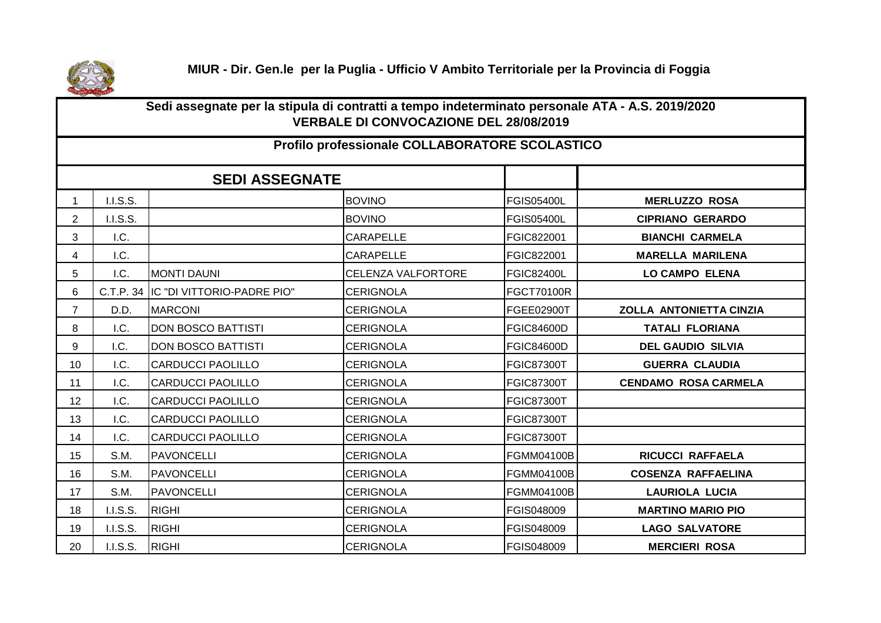

## **Sedi assegnate per la stipula di contratti a tempo indeterminato personale ATA - A.S. 2019/2020 VERBALE DI CONVOCAZIONE DEL 28/08/2019**

## **Profilo professionale COLLABORATORE SCOLASTICO**

|                |           | <b>SEDI ASSEGNATE</b>      |                           |                   |                                |  |  |  |  |
|----------------|-----------|----------------------------|---------------------------|-------------------|--------------------------------|--|--|--|--|
|                | I.I.S.S.  |                            | <b>BOVINO</b>             | <b>FGIS05400L</b> | <b>MERLUZZO ROSA</b>           |  |  |  |  |
| $\overline{2}$ | I.I.S.S.  |                            | <b>BOVINO</b>             | <b>FGIS05400L</b> | <b>CIPRIANO GERARDO</b>        |  |  |  |  |
| 3              | I.C.      |                            | <b>CARAPELLE</b>          | FGIC822001        | <b>BIANCHI CARMELA</b>         |  |  |  |  |
| 4              | I.C.      |                            | <b>CARAPELLE</b>          | FGIC822001        | <b>MARELLA MARILENA</b>        |  |  |  |  |
| 5              | I.C.      | <b>MONTI DAUNI</b>         | <b>CELENZA VALFORTORE</b> | <b>FGIC82400L</b> | <b>LO CAMPO ELENA</b>          |  |  |  |  |
| 6              | C.T.P. 34 | IC "DI VITTORIO-PADRE PIO" | <b>CERIGNOLA</b>          | <b>FGCT70100R</b> |                                |  |  |  |  |
| $\overline{7}$ | D.D.      | <b>MARCONI</b>             | <b>CERIGNOLA</b>          | FGEE02900T        | <b>ZOLLA ANTONIETTA CINZIA</b> |  |  |  |  |
| 8              | I.C.      | <b>DON BOSCO BATTISTI</b>  | <b>CERIGNOLA</b>          | <b>FGIC84600D</b> | <b>TATALI FLORIANA</b>         |  |  |  |  |
| 9              | I.C.      | <b>DON BOSCO BATTISTI</b>  | <b>CERIGNOLA</b>          | <b>FGIC84600D</b> | <b>DEL GAUDIO SILVIA</b>       |  |  |  |  |
| 10             | I.C.      | <b>CARDUCCI PAOLILLO</b>   | <b>CERIGNOLA</b>          | <b>FGIC87300T</b> | <b>GUERRA CLAUDIA</b>          |  |  |  |  |
| 11             | I.C.      | <b>CARDUCCI PAOLILLO</b>   | <b>CERIGNOLA</b>          | <b>FGIC87300T</b> | <b>CENDAMO ROSA CARMELA</b>    |  |  |  |  |
| 12             | I.C.      | <b>CARDUCCI PAOLILLO</b>   | <b>CERIGNOLA</b>          | <b>FGIC87300T</b> |                                |  |  |  |  |
| 13             | I.C.      | <b>CARDUCCI PAOLILLO</b>   | <b>CERIGNOLA</b>          | <b>FGIC87300T</b> |                                |  |  |  |  |
| 14             | I.C.      | <b>CARDUCCI PAOLILLO</b>   | <b>CERIGNOLA</b>          | <b>FGIC87300T</b> |                                |  |  |  |  |
| 15             | S.M.      | <b>PAVONCELLI</b>          | <b>CERIGNOLA</b>          | FGMM04100B        | RICUCCI RAFFAELA               |  |  |  |  |
| 16             | S.M.      | <b>PAVONCELLI</b>          | <b>CERIGNOLA</b>          | <b>FGMM04100B</b> | <b>COSENZA RAFFAELINA</b>      |  |  |  |  |
| 17             | S.M.      | <b>PAVONCELLI</b>          | <b>CERIGNOLA</b>          | <b>FGMM04100B</b> | <b>LAURIOLA LUCIA</b>          |  |  |  |  |
| 18             | I.I.S.S.  | <b>RIGHI</b>               | <b>CERIGNOLA</b>          | FGIS048009        | <b>MARTINO MARIO PIO</b>       |  |  |  |  |
| 19             | I.I.S.S.  | <b>RIGHI</b>               | <b>CERIGNOLA</b>          | FGIS048009        | <b>LAGO SALVATORE</b>          |  |  |  |  |
| 20             | I.I.S.S.  | <b>RIGHI</b>               | <b>CERIGNOLA</b>          | FGIS048009        | <b>MERCIERI ROSA</b>           |  |  |  |  |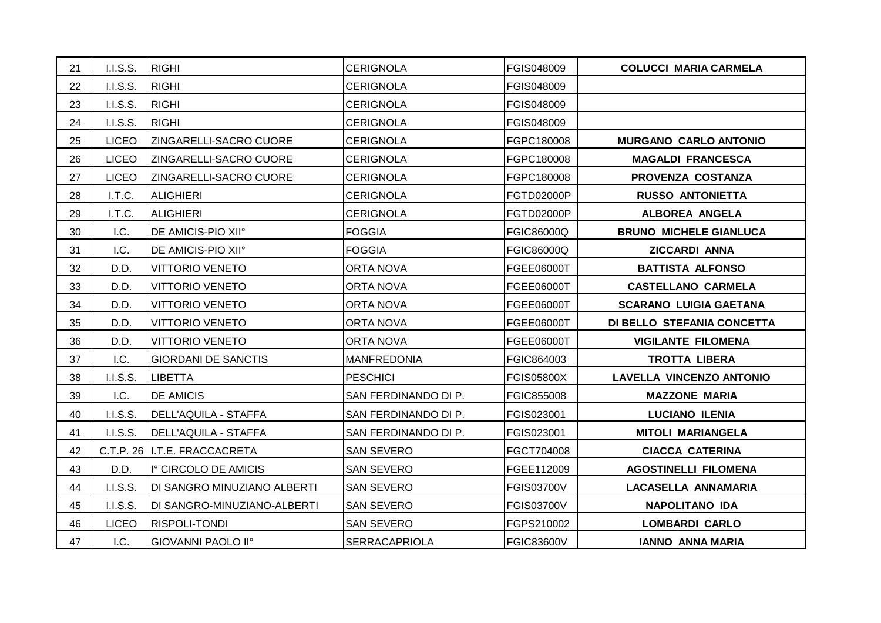| 21 | I.I.S.S.        | <b>RIGHI</b>                     | <b>CERIGNOLA</b>     | FGIS048009        | <b>COLUCCI MARIA CARMELA</b>    |
|----|-----------------|----------------------------------|----------------------|-------------------|---------------------------------|
| 22 | I.I.S.S.        | <b>RIGHI</b>                     | <b>CERIGNOLA</b>     | <b>FGIS048009</b> |                                 |
| 23 | <b>I.I.S.S.</b> | <b>RIGHI</b>                     | <b>CERIGNOLA</b>     | FGIS048009        |                                 |
| 24 | I.I.S.S.        | <b>RIGHI</b>                     | <b>CERIGNOLA</b>     | FGIS048009        |                                 |
| 25 | <b>LICEO</b>    | ZINGARELLI-SACRO CUORE           | <b>CERIGNOLA</b>     | FGPC180008        | <b>MURGANO CARLO ANTONIO</b>    |
| 26 | <b>LICEO</b>    | ZINGARELLI-SACRO CUORE           | <b>CERIGNOLA</b>     | FGPC180008        | <b>MAGALDI FRANCESCA</b>        |
| 27 | <b>LICEO</b>    | ZINGARELLI-SACRO CUORE           | <b>CERIGNOLA</b>     | FGPC180008        | PROVENZA COSTANZA               |
| 28 | I.T.C.          | <b>ALIGHIERI</b>                 | <b>CERIGNOLA</b>     | FGTD02000P        | <b>RUSSO ANTONIETTA</b>         |
| 29 | I.T.C.          | <b>ALIGHIERI</b>                 | <b>CERIGNOLA</b>     | <b>FGTD02000P</b> | <b>ALBOREA ANGELA</b>           |
| 30 | I.C.            | DE AMICIS-PIO XII°               | <b>FOGGIA</b>        | <b>FGIC86000Q</b> | <b>BRUNO MICHELE GIANLUCA</b>   |
| 31 | I.C.            | DE AMICIS-PIO XII°               | <b>FOGGIA</b>        | FGIC86000Q        | <b>ZICCARDI ANNA</b>            |
| 32 | D.D.            | <b>VITTORIO VENETO</b>           | <b>ORTA NOVA</b>     | FGEE06000T        | <b>BATTISTA ALFONSO</b>         |
| 33 | D.D.            | <b>VITTORIO VENETO</b>           | <b>ORTA NOVA</b>     | FGEE06000T        | <b>CASTELLANO CARMELA</b>       |
| 34 | D.D.            | <b>VITTORIO VENETO</b>           | ORTA NOVA            | <b>FGEE06000T</b> | <b>SCARANO LUIGIA GAETANA</b>   |
| 35 | D.D.            | <b>VITTORIO VENETO</b>           | <b>ORTA NOVA</b>     | FGEE06000T        | DI BELLO STEFANIA CONCETTA      |
| 36 | D.D.            | <b>VITTORIO VENETO</b>           | <b>ORTA NOVA</b>     | FGEE06000T        | <b>VIGILANTE FILOMENA</b>       |
| 37 | I.C.            | <b>GIORDANI DE SANCTIS</b>       | <b>MANFREDONIA</b>   | FGIC864003        | <b>TROTTA LIBERA</b>            |
| 38 | I.I.S.S.        | <b>LIBETTA</b>                   | <b>PESCHICI</b>      | <b>FGIS05800X</b> | <b>LAVELLA VINCENZO ANTONIO</b> |
| 39 | I.C.            | <b>DE AMICIS</b>                 | SAN FERDINANDO DI P. | <b>FGIC855008</b> | <b>MAZZONE MARIA</b>            |
| 40 | I.I.S.S.        | <b>DELL'AQUILA - STAFFA</b>      | SAN FERDINANDO DI P. | FGIS023001        | <b>LUCIANO ILENIA</b>           |
| 41 | I.I.S.S.        | <b>DELL'AQUILA - STAFFA</b>      | SAN FERDINANDO DI P. | FGIS023001        | <b>MITOLI MARIANGELA</b>        |
| 42 |                 | C.T.P. 26 I.T.E. FRACCACRETA     | <b>SAN SEVERO</b>    | FGCT704008        | <b>CIACCA CATERINA</b>          |
| 43 | D.D.            | I <sup>°</sup> CIRCOLO DE AMICIS | <b>SAN SEVERO</b>    | FGEE112009        | <b>AGOSTINELLI FILOMENA</b>     |
| 44 | I.I.S.S.        | DI SANGRO MINUZIANO ALBERTI      | <b>SAN SEVERO</b>    | <b>FGIS03700V</b> | LACASELLA ANNAMARIA             |
| 45 | I.I.S.S.        | DI SANGRO-MINUZIANO-ALBERTI      | <b>SAN SEVERO</b>    | FGIS03700V        | <b>NAPOLITANO IDA</b>           |
| 46 | <b>LICEO</b>    | <b>RISPOLI-TONDI</b>             | <b>SAN SEVERO</b>    | FGPS210002        | <b>LOMBARDI CARLO</b>           |
| 47 | I.C.            | GIOVANNI PAOLO II°               | <b>SERRACAPRIOLA</b> | <b>FGIC83600V</b> | <b>IANNO ANNA MARIA</b>         |